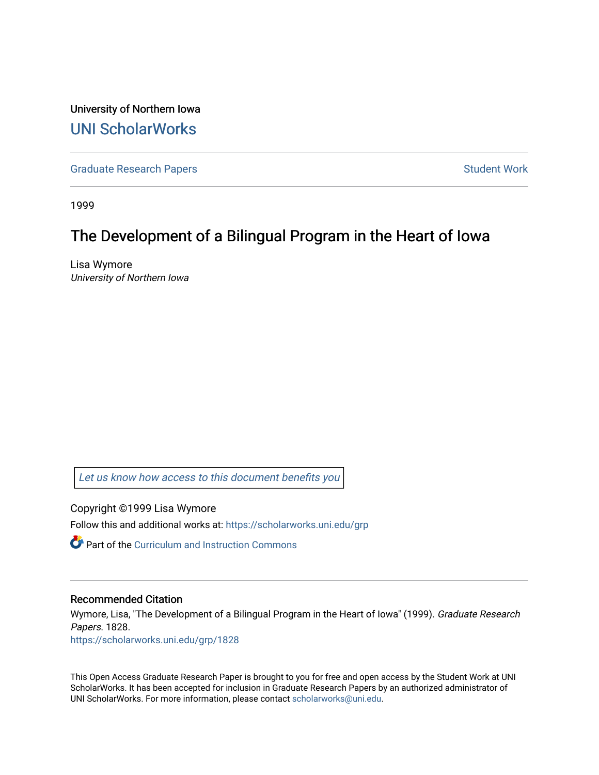University of Northern Iowa [UNI ScholarWorks](https://scholarworks.uni.edu/) 

[Graduate Research Papers](https://scholarworks.uni.edu/grp) **Student Work** Student Work

1999

# The Development of a Bilingual Program in the Heart of Iowa

Lisa Wymore University of Northern Iowa

[Let us know how access to this document benefits you](https://scholarworks.uni.edu/feedback_form.html) 

Copyright ©1999 Lisa Wymore

Follow this and additional works at: [https://scholarworks.uni.edu/grp](https://scholarworks.uni.edu/grp?utm_source=scholarworks.uni.edu%2Fgrp%2F1828&utm_medium=PDF&utm_campaign=PDFCoverPages) 

**Part of the Curriculum and Instruction Commons** 

#### Recommended Citation

Wymore, Lisa, "The Development of a Bilingual Program in the Heart of Iowa" (1999). Graduate Research Papers. 1828.

[https://scholarworks.uni.edu/grp/1828](https://scholarworks.uni.edu/grp/1828?utm_source=scholarworks.uni.edu%2Fgrp%2F1828&utm_medium=PDF&utm_campaign=PDFCoverPages) 

This Open Access Graduate Research Paper is brought to you for free and open access by the Student Work at UNI ScholarWorks. It has been accepted for inclusion in Graduate Research Papers by an authorized administrator of UNI ScholarWorks. For more information, please contact [scholarworks@uni.edu.](mailto:scholarworks@uni.edu)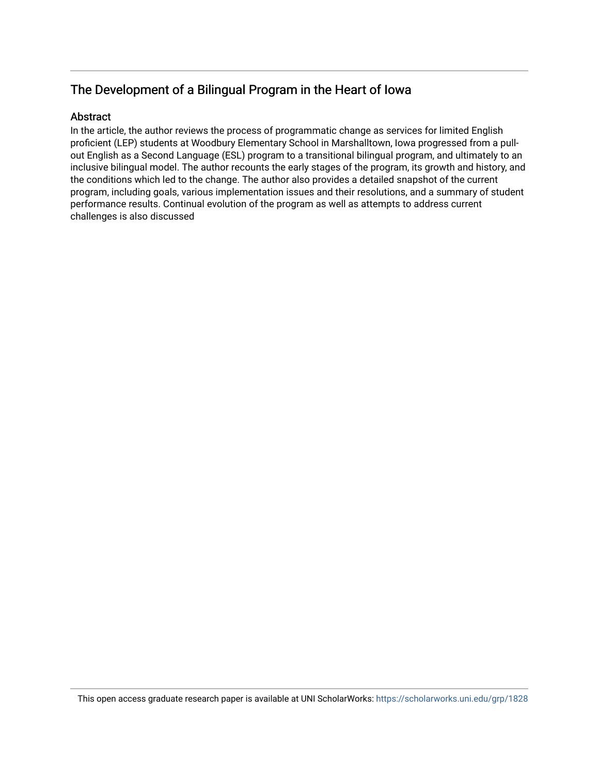## The Development of a Bilingual Program in the Heart of Iowa

### Abstract

In the article, the author reviews the process of programmatic change as services for limited English proficient (LEP) students at Woodbury Elementary School in Marshalltown, Iowa progressed from a pullout English as a Second Language (ESL) program to a transitional bilingual program, and ultimately to an inclusive bilingual model. The author recounts the early stages of the program, its growth and history, and the conditions which led to the change. The author also provides a detailed snapshot of the current program, including goals, various implementation issues and their resolutions, and a summary of student performance results. Continual evolution of the program as well as attempts to address current challenges is also discussed

This open access graduate research paper is available at UNI ScholarWorks: <https://scholarworks.uni.edu/grp/1828>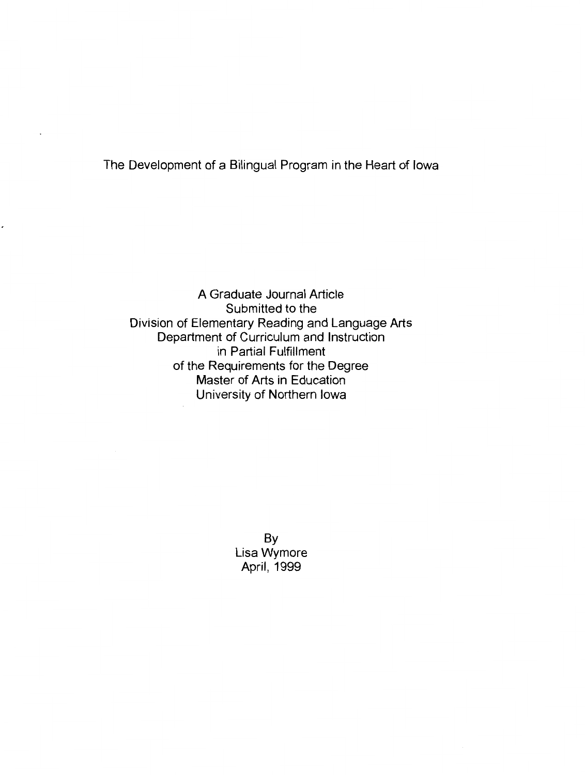The Development of a Bilingual Program in the Heart of Iowa

A Graduate Journal Article Submitted to the Division of Elementary Reading and Language Arts Department of Curriculum and Instruction in Partial Fulfillment of the Requirements for the Degree Master of Arts in Education University of Northern Iowa

> By Lisa Wymore April, 1999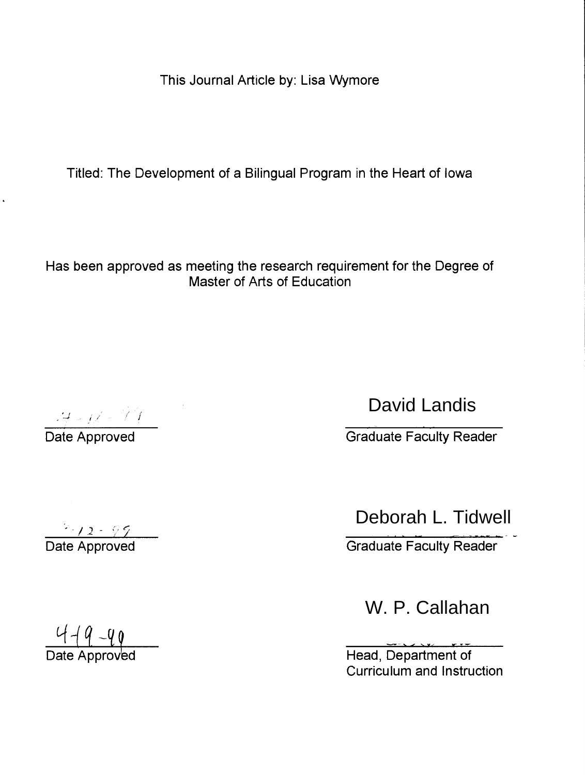This Journal Article by: Lisa Wymore

Titled: The Development of a Bilingual Program in the Heart of Iowa

Has been approved as meeting the research requirement for the Degree of Master of Arts of Education

David Landis

David Landis<br>
Date Approved Graduate Faculty Reader

Deborah L. Tidwell

Date Approved Creation Creation Creation Creation Creation Creation Creation Creation Creation Creation Creation Creation Creation Creation Creation Creation Creation Creation Creation Creation Creation Creation Creation C

W. P. Callahan

Curriculum and Instruction

 $\frac{449-90}{\frac{1}{240}}$  Date Approved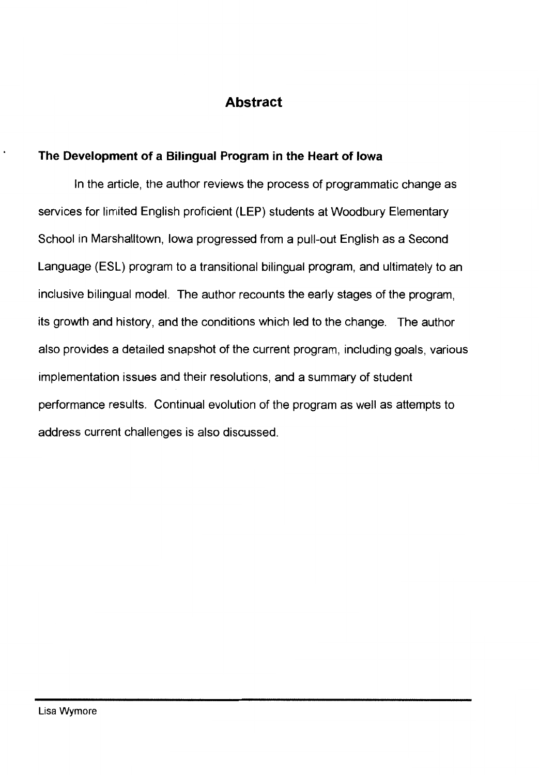## **Abstract**

## **The Development of a Bilingual Program in the Heart of Iowa**

In the article, the author reviews the process of programmatic change as services for limited English proficient (LEP) students at Woodbury Elementary School in Marshalltown, Iowa progressed from a pull-out English as a Second Language (ESL) program to a transitional bilingual program, and ultimately to an inclusive bilingual model. The author recounts the early stages of the program, its growth and history, and the conditions which led to the change. The author also provides a detailed snapshot of the current program, including goals, various implementation issues and their resolutions, and a summary of student performance results. Continual evolution of the program as well as attempts to address current challenges is also discussed.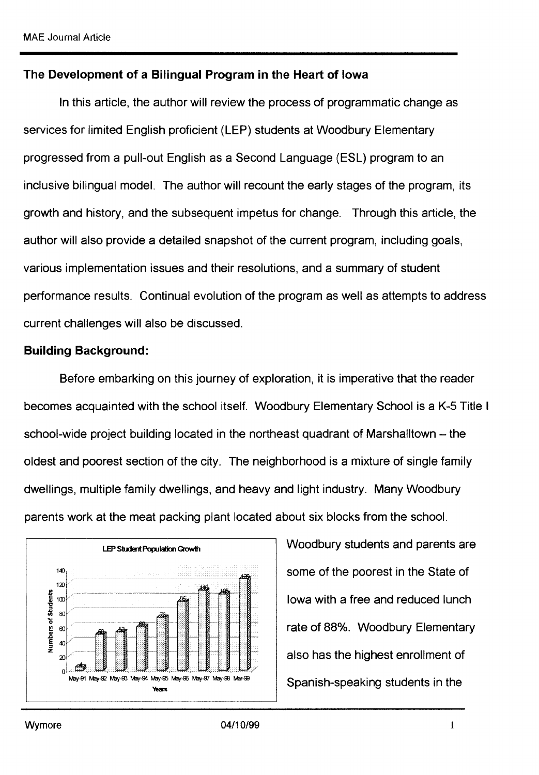### **The Development of a Bilingual Program in the Heart of Iowa**

In this article, the author will review the process of programmatic change as services for limited English proficient (LEP) students at Woodbury Elementary progressed from a pull-out English as a Second Language (ESL) program to an inclusive bilingual model. The author will recount the early stages of the program, its growth and history, and the subsequent impetus for change. Through this article, the author will also provide a detailed snapshot of the current program, including goals, various implementation issues and their resolutions, and a summary of student performance results. Continual evolution of the program as well as attempts to address current challenges will also be discussed.

#### **Building Background:**

Before embarking on this journey of exploration, it is imperative that the reader becomes acquainted with the school itself. Woodbury Elementary School is a K-5 Title I school-wide project building located in the northeast quadrant of Marshalltown – the oldest and poorest section of the city. The neighborhood is a mixture of single family dwellings, multiple family dwellings, and heavy and light industry. Many Woodbury parents work at the meat packing plant located about six blocks from the school.



Woodbury students and parents are some of the poorest in the State of Iowa with a free and reduced lunch rate of 88%. Woodbury Elementary also has the highest enrollment of Spanish-speaking students in the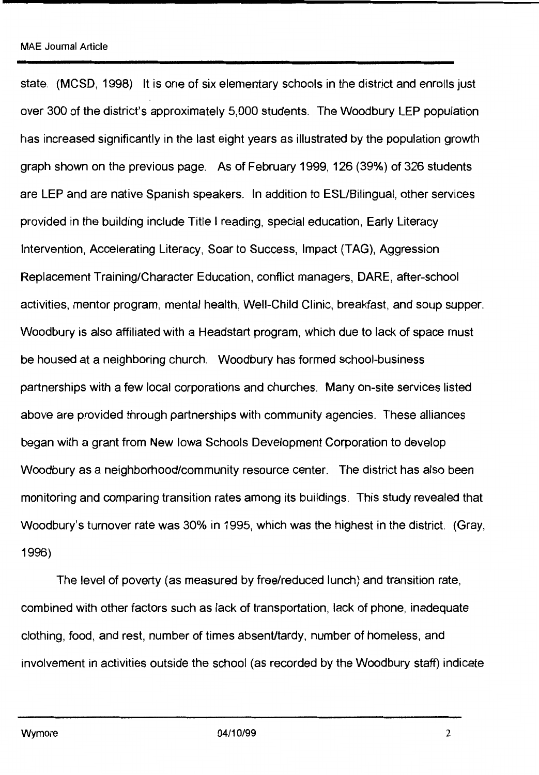state. (MCSD, 1998) It is one of six elementary schools in the district and enrolls just over 300 of the district's approximately 5,000 students. The Woodbury LEP population has increased significantly in the last eight years as illustrated by the population growth graph shown on the previous page. As of February 1999, 126 (39%) of 326 students are LEP and are native Spanish speakers. In addition to ESL/Bilingual, other services provided in the building include Title I reading, special education, Early Literacy Intervention, Accelerating Literacy, Soar to Success, Impact (TAG), Aggression Replacement Training/Character Education, conflict managers, DARE, after-school activities, mentor program, mental health, Well-Child Clinic, breakfast, and soup supper. Woodbury is also affiliated with a Headstart program, which due to lack of space must be housed at a neighboring church. Woodbury has formed school-business partnerships with a few local corporations and churches. Many on-site services listed above are provided through partnerships with community agencies. These alliances began with a grant from New Iowa Schools Development Corporation to develop Woodbury as a neighborhood/community resource center. The district has also been monitoring and comparing transition rates among its buildings. This study revealed that Woodbury's turnover rate was 30% in 1995, which was the highest in the district. (Gray, 1996)

The level of poverty (as measured by free/reduced lunch) and transition rate, combined with other factors such as lack of transportation, lack of phone, inadequate clothing, food, and rest, number of times absent/tardy, number of homeless, and involvement in activities outside the school (as recorded by the Woodbury staff) indicate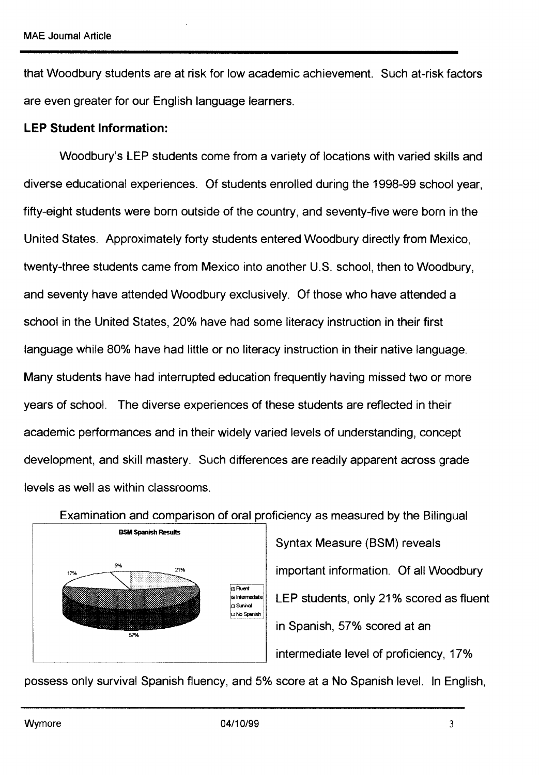that Woodbury students are at risk for low academic achievement. Such at-risk factors are even greater for our English language learners.

### **LEP Student Information:**

Woodbury's LEP students come from a variety of locations with varied skills and diverse educational experiences. Of students enrolled during the 1998-99 school year, fifty-eight students were born outside of the country, and seventy-five were born in the United States. Approximately forty students entered Woodbury directly from Mexico, twenty-three students came from Mexico into another U.S. school, then to Woodbury, and seventy have attended Woodbury exclusively. Of those who have attended a school in the United States, 20% have had some literacy instruction in their first language while 80% have had little or no literacy instruction in their native language. Many students have had interrupted education frequently having missed two or more years of school. The diverse experiences of these students are reflected in their academic performances and in their widely varied levels of understanding, concept development, and skill mastery. Such differences are readily apparent across grade levels as well as within classrooms.





Syntax Measure (BSM) reveals important information. Of all Woodbury LEP students, only 21 % scored as fluent in Spanish, 57% scored at an intermediate level of proficiency, 17%

possess only survival Spanish fluency, and 5% score at a No Spanish level. In English,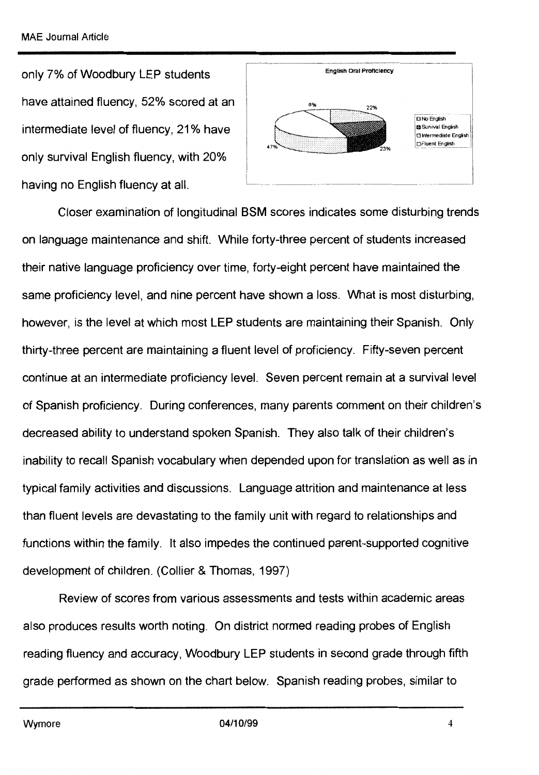only 7% of Woodbury LEP students have attained fluency, 52% scored at an intermediate level of fluency, 21% have only survival English fluency, with 20% having no English fluency at all.



Closer examination of longitudinal BSM scores indicates some disturbing trends on language maintenance and shift. While forty-three percent of students increased their native language proficiency over time, forty-eight percent have maintained the same proficiency level, and nine percent have shown a loss. What is most disturbing, however, is the level at which most LEP students are maintaining their Spanish. Only thirty-three percent are maintaining a fluent level of proficiency. Fifty-seven percent continue at an intermediate proficiency level. Seven percent remain at a survival level of Spanish proficiency. During conferences, many parents comment on their children's decreased ability to understand spoken Spanish. They also talk of their children's inability to recall Spanish vocabulary when depended upon for translation as well as in typical family activities and discussions. Language attrition and maintenance at less than fluent levels are devastating to the family unit with regard to relationships and functions within the family. It also impedes the continued parent-supported cognitive development of children. (Collier & Thomas, 1997)

Review of scores from various assessments and tests within academic areas also produces results worth noting. On district normed reading probes of English reading fluency and accuracy, Woodbury LEP students in second grade through fifth grade performed as shown on the chart below. Spanish reading probes, similar to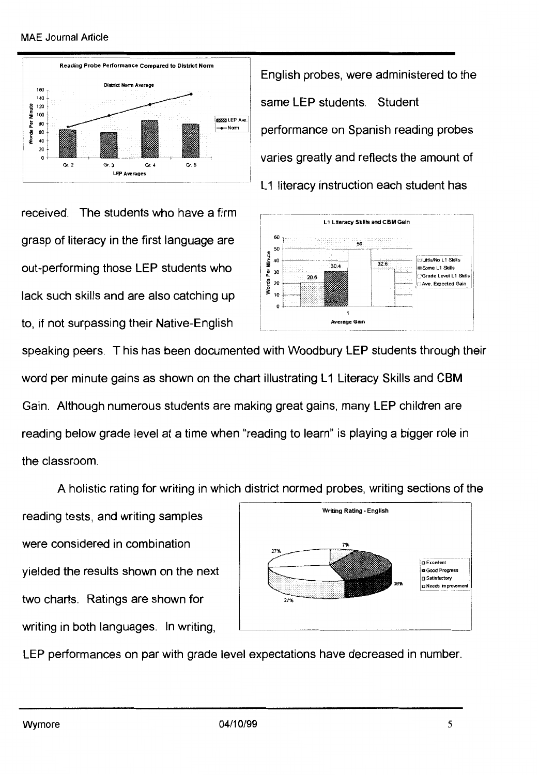#### MAE Journal Article



English probes, were administered to the same LEP students. Student performance on Spanish reading probes varies greatly and reflects the amount of L1 literacy instruction each student has

received. The students who have a firm grasp of literacy in the first language are out-performing those LEP students who lack such skills and are also catching up to, if not surpassing their Native-English



speaking peers. This has been documented with Woodbury LEP students through their word per minute gains as shown on the chart illustrating L1 Literacy Skills and CBM Gain. Although numerous students are making great gains, many LEP children are reading below grade level at a time when "reading to learn" is playing a bigger role in the classroom.

A holistic rating for writing in which district normed probes, writing sections of the

reading tests, and writing samples were considered in combination yielded the results shown on the next two charts. Ratings are shown for writing in both languages. In writing,



LEP performances on par with grade level expectations have decreased in number.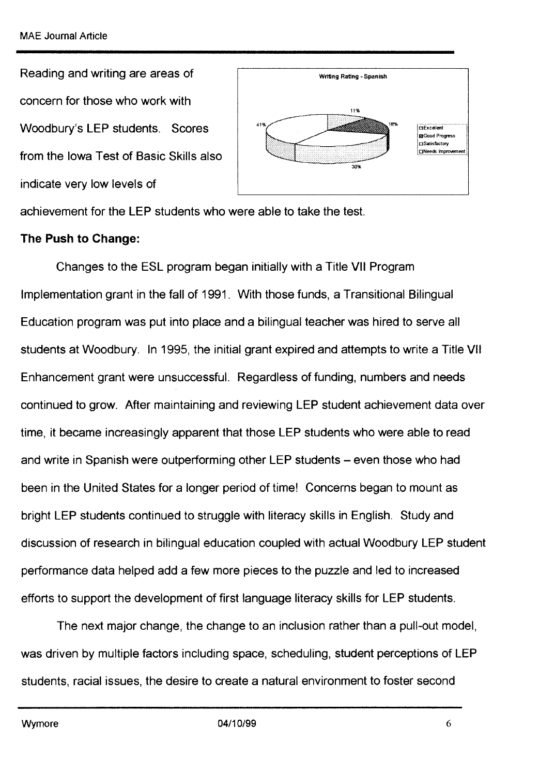Reading and writing are areas of concern for those who work with Woodbury's LEP students. Scores from the Iowa Test of Basic Skills also indicate very low levels of



achievement for the LEP students who were able to take the test.

#### **The Push to Change:**

Changes to the ESL program began initially with a Title VII Program Implementation grant in the fall of 1991. With those funds, a Transitional Bilingual Education program was put into place and a bilingual teacher was hired to serve all students at Woodbury. In 1995, the initial grant expired and attempts to write a Title VII Enhancement grant were unsuccessful. Regardless of funding, numbers and needs continued to grow. After maintaining and reviewing LEP student achievement data over time, it became increasingly apparent that those LEP students who were able to read and write in Spanish were outperforming other LEP students – even those who had been in the United States for a longer period of time! Concerns began to mount as bright LEP students continued to struggle with literacy skills in English. Study and discussion of research in bilingual education coupled with actual Woodbury LEP student performance data helped add a few more pieces to the puzzle and led to increased efforts to support the development of first language literacy skills for LEP students.

The next major change, the change to an inclusion rather than a pull-out model, was driven by multiple factors including space, scheduling, student perceptions of LEP students, racial issues, the desire to create a natural environment to foster second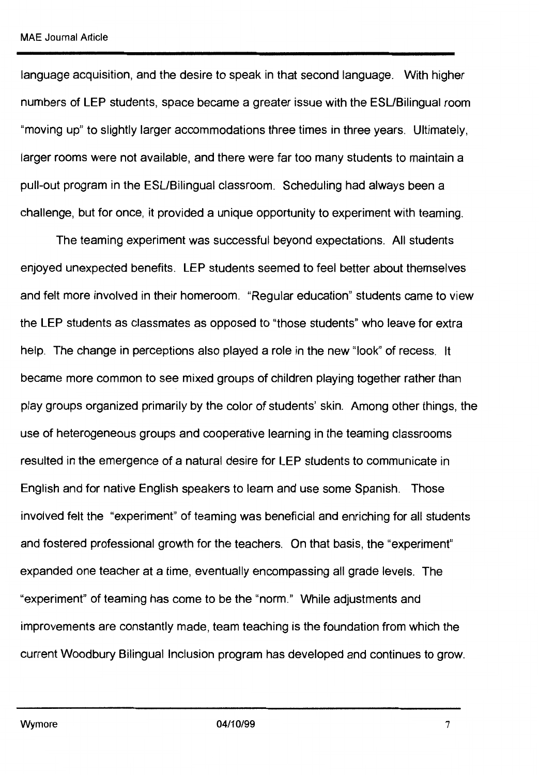language acquisition, and the desire to speak in that second language. With higher numbers of LEP students, space became a greater issue with the ESL/Bilingual room "moving up" to slightly larger accommodations three times in three years. Ultimately, larger rooms were not available, and there were far too many students to maintain a pull-out program in the ESL/Bilingual classroom. Scheduling had always been a challenge, but for once, it provided a unique opportunity to experiment with teaming.

The teaming experiment was successful beyond expectations. All students enjoyed unexpected benefits. LEP students seemed to feel better about themselves and felt more involved in their homeroom. "Regular education" students came to view the LEP students as classmates as opposed to "those students" who leave for extra help. The change in perceptions also played a role in the new "look" of recess. It became more common to see mixed groups of children playing together rather than play groups organized primarily by the color of students' skin. Among other things, the use of heterogeneous groups and cooperative learning in the teaming classrooms resulted in the emergence of a natural desire for LEP students to communicate in English and for native English speakers to learn and use some Spanish. Those involved felt the "experiment" of teaming was beneficial and enriching for all students and fostered professional growth for the teachers. On that basis, the "experiment" expanded one teacher at a time, eventually encompassing all grade levels. The "experiment" of teaming has come to be the "norm." While adjustments and improvements are constantly made, team teaching is the foundation from which the current Woodbury Bilingual Inclusion program has developed and continues to grow.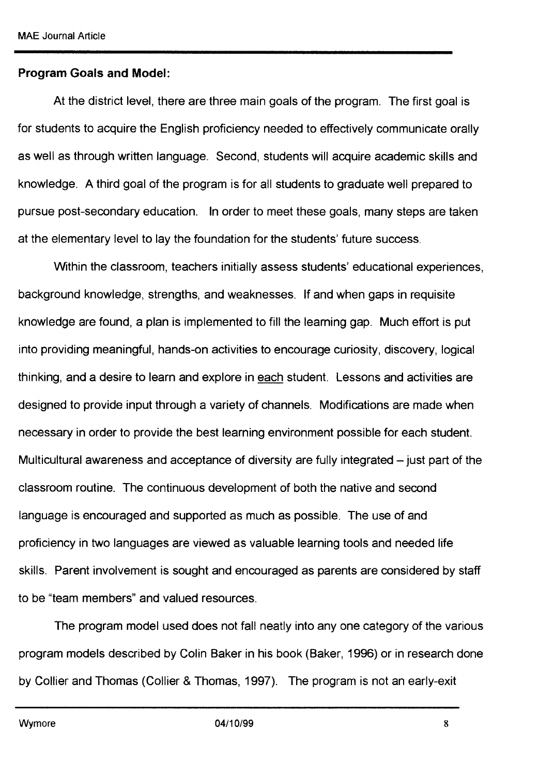#### **Program Goals and Model:**

At the district level, there are three main goals of the program. The first goal is for students to acquire the English proficiency needed to effectively communicate orally as well as through written language. Second, students will acquire academic skills and knowledge. A third goal of the program is for all students to graduate well prepared to pursue post-secondary education. In order to meet these goals, many steps are taken at the elementary level to lay the foundation for the students' future success.

Within the classroom, teachers initially assess students' educational experiences, background knowledge, strengths, and weaknesses. If and when gaps in requisite knowledge are found, a plan is implemented to fill the learning gap. Much effort is put into providing meaningful, hands-on activities to encourage curiosity, discovery, logical thinking, and a desire to learn and explore in each student. Lessons and activities are designed to provide input through a variety of channels. Modifications are made when necessary in order to provide the best learning environment possible for each student. Multicultural awareness and acceptance of diversity are fully integrated – just part of the classroom routine. The continuous development of both the native and second language is encouraged and supported as much as possible. The use of and proficiency in two languages are viewed as valuable learning tools and needed life skills. Parent involvement is sought and encouraged as parents are considered by staff to be "team members" and valued resources.

The program model used does not fall neatly into any one category of the various program models described by Colin Baker in his book (Baker, 1996) or in research done by Collier and Thomas (Collier & Thomas, 1997). The program is not an early-exit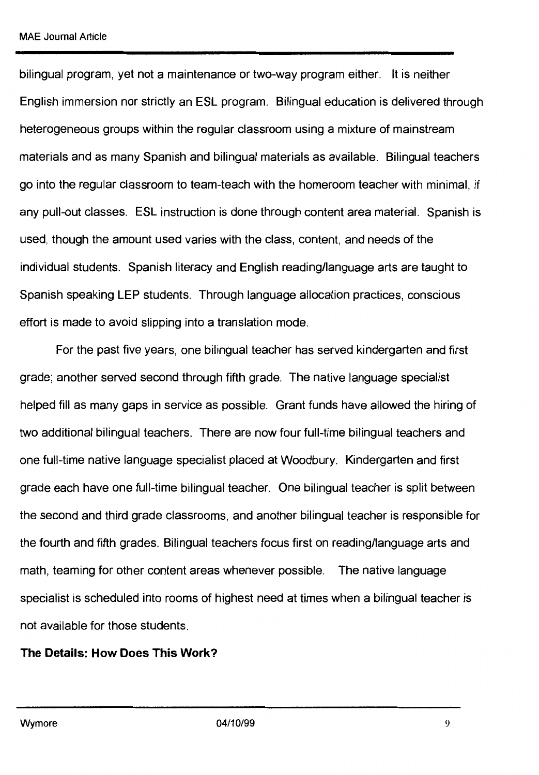bilingual program, yet not a maintenance or two-way program either. It is neither English immersion nor strictly an ESL program. Bilingual education is delivered through heterogeneous groups within the regular classroom using a mixture of mainstream materials and as many Spanish and bilingual materials as available. Bilingual teachers go into the regular classroom to team-teach with the homeroom teacher with minimal, if any pull-out classes. ESL instruction is done through content area material. Spanish is used, though the amount used varies with the class, content, and needs of the individual students. Spanish literacy and English reading/language arts are taught to Spanish speaking LEP students. Through language allocation practices, conscious effort is made to avoid slipping into a translation mode.

For the past five years, one bilingual teacher has served kindergarten and first grade; another served second through fifth grade. The native language specialist helped fill as many gaps in service as possible. Grant funds have allowed the hiring of two additional bilingual teachers. There are now four full-time bilingual teachers and one full-time native language specialist placed at Woodbury. Kindergarten and first grade each have one full-time bilingual teacher. One bilingual teacher is split between the second and third grade classrooms, and another bilingual teacher is responsible for the fourth and fifth grades. Bilingual teachers focus first on reading/language arts and math, teaming for other content areas whenever possible. The native language specialist is scheduled into rooms of highest need at times when a bilingual teacher is not available for those students.

## **The Details: How Does This Work?**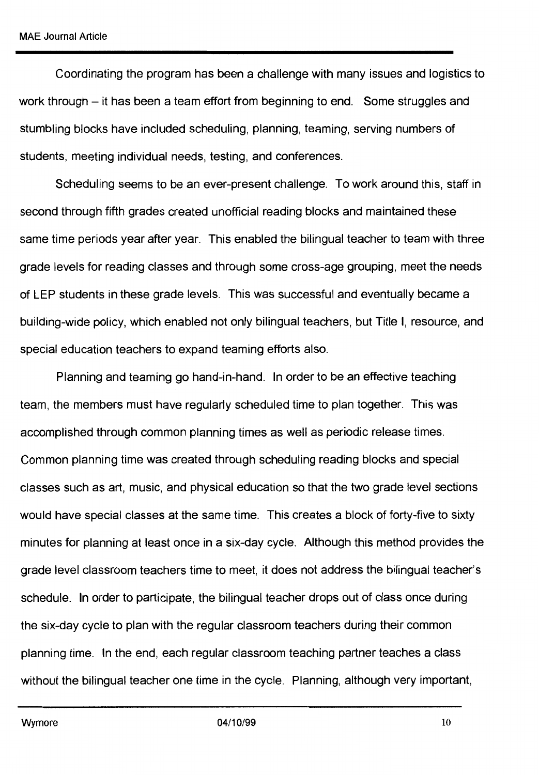Coordinating the program has been a challenge with many issues and logistics to work through - it has been a team effort from beginning to end. Some struggles and stumbling blocks have included scheduling, planning, teaming, serving numbers of students, meeting individual needs, testing, and conferences.

Scheduling seems to be an ever-present challenge. To work around this, staff in second through fifth grades created unofficial reading blocks and maintained these same time periods year after year. This enabled the bilingual teacher to team with three grade levels for reading classes and through some cross-age grouping, meet the needs of LEP students in these grade levels. This was successful and eventually became a building-wide policy, which enabled not only bilingual teachers, but Title I, resource, and special education teachers to expand teaming efforts also.

Planning and teaming go hand-in-hand. In order to be an effective teaching team, the members must have regularly scheduled time to plan together. This was accomplished through common planning times as well as periodic release times. Common planning time was created through scheduling reading blocks and special classes such as art, music, and physical education so that the two grade level sections would have special classes at the same time. This creates a block of forty-five to sixty minutes for planning at least once in a six-day cycle. Although this method provides the grade level classroom teachers time to meet, it does not address the bilingual teacher's schedule. In order to participate, the bilingual teacher drops out of class once during the six-day cycle to plan with the regular classroom teachers during their common planning time. In the end, each regular classroom teaching partner teaches a class without the bilingual teacher one time in the cycle. Planning, although very important,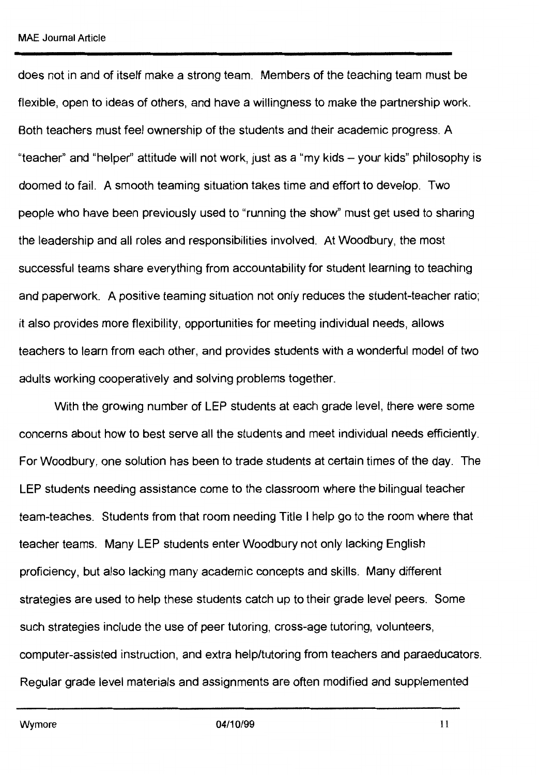does not in and of itself make a strong team. Members of the teaching team must be flexible, open to ideas of others, and have a willingness to make the partnership work. Both teachers must feel ownership of the students and their academic progress. A "teacher" and "helper" attitude will not work, just as a "my kids - your kids" philosophy is doomed to fail. A smooth teaming situation takes time and effort to develop. Two people who have been previously used to "running the show" must get used to sharing the leadership and all roles and responsibilities involved. At Woodbury, the most successful teams share everything from accountability for student learning to teaching and paperwork. A positive teaming situation not only reduces the student-teacher ratio; it also provides more flexibility, opportunities for meeting individual needs, allows teachers to learn from each other, and provides students with a wonderful model of two adults working cooperatively and solving problems together.

With the growing number of LEP students at each grade level, there were some concerns about how to best serve all the students and meet individual needs efficiently. For Woodbury, one solution has been to trade students at certain times of the day. The LEP students needing assistance come to the classroom where the bilingual teacher team-teaches. Students from that room needing Title I help go to the room where that teacher teams. Many LEP students enter Woodbury not only lacking English proficiency, but also lacking many academic concepts and skills. Many different strategies are used to help these students catch up to their grade level peers. Some such strategies include the use of peer tutoring, cross-age tutoring, volunteers, computer-assisted instruction, and extra help/tutoring from teachers and paraeducators. Regular grade level materials and assignments are often modified and supplemented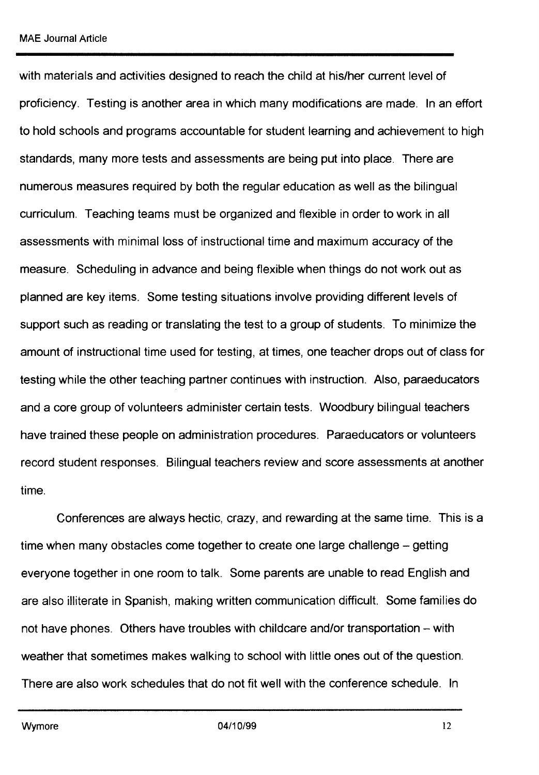with materials and activities designed to reach the child at his/her current level of proficiency. Testing is another area in which many modifications are made. In an effort to hold schools and programs accountable for student learning and achievement to high standards, many more tests and assessments are being put into place. There are numerous measures required by both the regular education as well as the bilingual curriculum. Teaching teams must be organized and flexible in order to work in all assessments with minimal loss of instructional time and maximum accuracy of the measure. Scheduling in advance and being flexible when things do not work out as planned are key items. Some testing situations involve providing different levels of support such as reading or translating the test to a group of students. To minimize the amount of instructional time used for testing, at times, one teacher drops out of class for testing while the other teaching partner continues with instruction. Also, paraeducators and a core group of volunteers administer certain tests. Woodbury bilingual teachers have trained these people on administration procedures. Paraeducators or volunteers record student responses. Bilingual teachers review and score assessments at another time.

Conferences are always hectic, crazy, and rewarding at the same time. This is a time when many obstacles come together to create one large challenge - getting everyone together in one room to talk. Some parents are unable to read English and are also illiterate in Spanish, making written communication difficult. Some families do not have phones. Others have troubles with childcare and/or transportation – with weather that sometimes makes walking to school with little ones out of the question. There are also work schedules that do not fit well with the conference schedule. In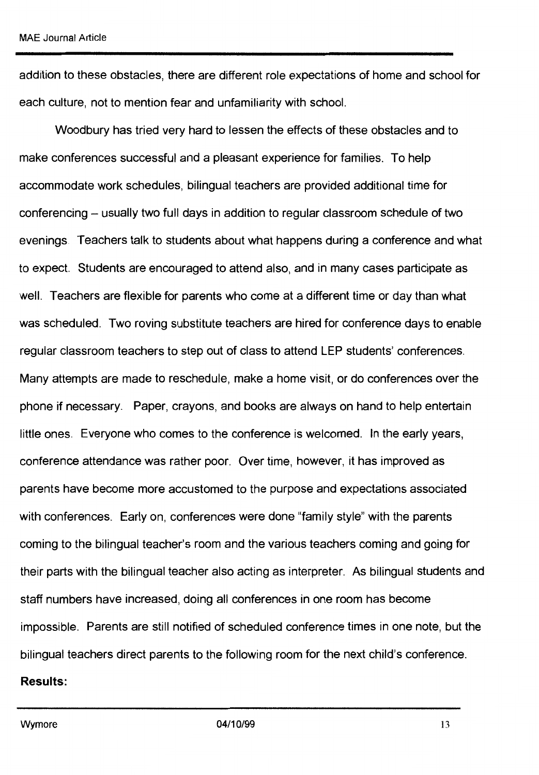addition to these obstacles, there are different role expectations of home and school for each culture, not to mention fear and unfamiliarity with school.

Woodbury has tried very hard to lessen the effects of these obstacles and to make conferences successful and a pleasant experience for families. To help accommodate work schedules, bilingual teachers are provided additional time for conferencing - usually two full days in addition to regular classroom schedule of two evenings. Teachers talk to students about what happens during a conference and what to expect. Students are encouraged to attend also, and in many cases participate as well. Teachers are flexible for parents who come at a different time or day than what was scheduled. Two roving substitute teachers are hired for conference days to enable regular classroom teachers to step out of class to attend LEP students' conferences. Many attempts are made to reschedule, make a home visit, or do conferences over the phone if necessary. Paper, crayons, and books are always on hand to help entertain little ones. Everyone who comes to the conference is welcomed. In the early years, conference attendance was rather poor. Over time, however, it has improved as parents have become more accustomed to the purpose and expectations associated with conferences. Early on, conferences were done "family style" with the parents coming to the bilingual teacher's room and the various teachers coming and going for their parts with the bilingual teacher also acting as interpreter. As bilingual students and staff numbers have increased, doing all conferences in one room has become impossible. Parents are still notified of scheduled conference times in one note, but the bilingual teachers direct parents to the following room for the next child's conference. **Results:**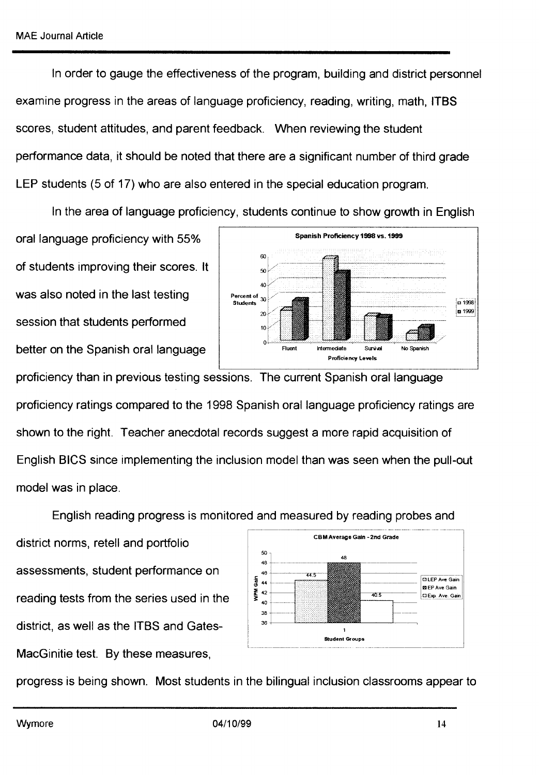In order to gauge the effectiveness of the program, building and district personnel examine progress in the areas of language proficiency, reading, writing, math, ITBS scores, student attitudes, and parent feedback. When reviewing the student performance data, it should be noted that there are a significant number of third grade LEP students (5 of 17) who are also entered in the special education program.

In the area of language proficiency, students continue to show growth in English

oral language proficiency with 55% of students improving their scores. It was also noted in the last testing session that students performed better on the Spanish oral language



proficiency than in previous testing sessions. The current Spanish oral language proficiency ratings compared to the 1998 Spanish oral language proficiency ratings are shown to the right. Teacher anecdotal records suggest a more rapid acquisition of English BICS since implementing the inclusion model than was seen when the pull-out model was in place.

English reading progress is monitored and measured by reading probes and

district norms, retell and portfolio assessments, student performance on reading tests from the series used in the district, as well as the ITBS and Gates-MacGinitie test. By these measures,



progress is being shown. Most students in the bilingual inclusion classrooms appear to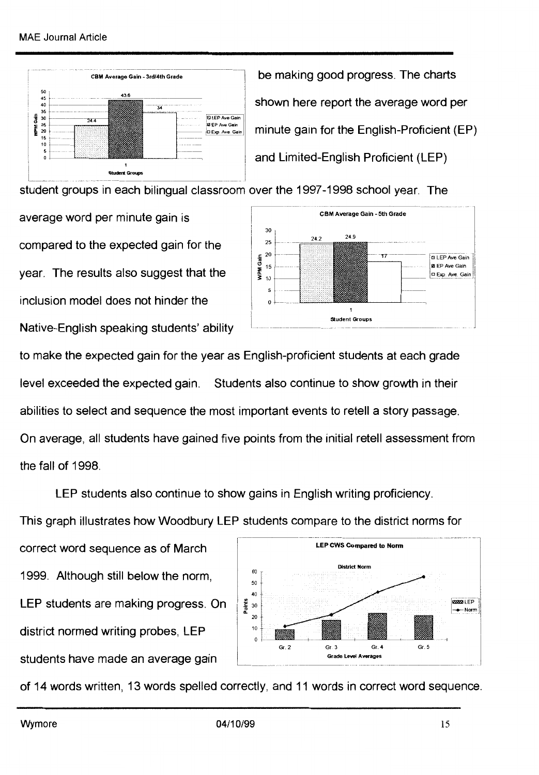

be making good progress. The charts shown here report the average word per  $\begin{array}{c|c|c|c|c|c} \hline \text{S} & \text{S} & \text{S} & \text{S} & \text{S} & \text{S} & \text{S} & \text{S} & \text{S} & \text{S} & \text{S} & \text{S} & \text{S} & \text{S} & \text{S} & \text{S} & \text{S} & \text{S} & \text{S} & \text{S} & \text{S} & \text{S} & \text{S} & \text{S} & \text{S} & \text{S} & \text{S} & \text{S} & \text{S} & \text{S} & \text{S} & \text{S} & \text{S} & \text$ and Limited-English Proficient (LEP)

student groups in each bilingual classroom over the 1997 -1998 school year. The

average word per minute gain is compared to the expected gain for the year. The results also suggest that the inclusion model does not hinder the Native-English speaking students' ability



to make the expected gain for the year as English-proficient students at each grade level exceeded the expected gain. Students also continue to show growth in their abilities to select and sequence the most important events to retell a story passage. On average, all students have gained five points from the initial retell assessment from the fall of 1998.

LEP students also continue to show gains in English writing proficiency.

This graph illustrates how Woodbury LEP students compare to the district norms for

correct word sequence as of March 1999. Although still below the norm, LEP students are making progress. On district normed writing probes, LEP students have made an average gain



of 14 words written, 13 words spelled correctly, and 11 words in correct word sequence.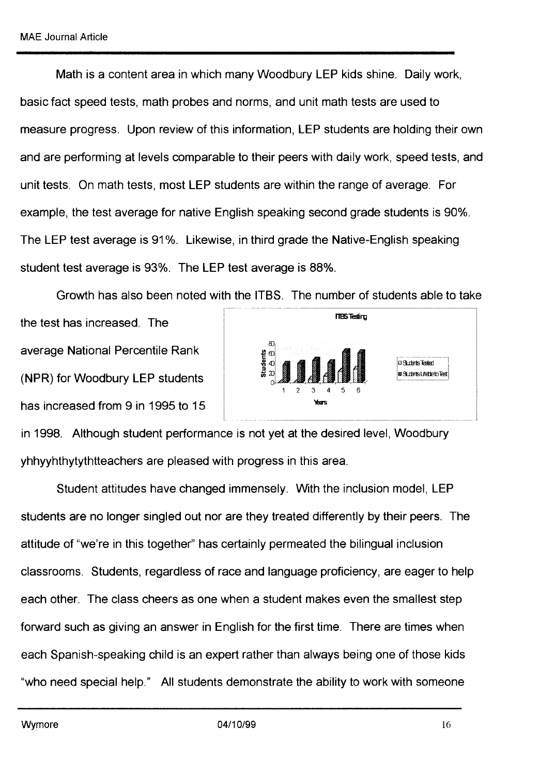Math is a content area in which many Woodbury LEP kids shine. Daily work, basic fact speed tests, math probes and norms, and unit math tests are used to measure progress. Upon review of this information, LEP students are holding their own and are performing at levels comparable to their peers with daily work, speed tests, and unit tests. On math tests, most LEP students are within the range of average. For example, the test average for native English speaking second grade students is 90%. The LEP test average is 91%. Likewise, in third grade the Native-English speaking student test average is 93%. The LEP test average is 88%.

Growth has also been noted with the ITBS. The number of students able to take

the test has increased. The average National Percentile Rank (NPR) for Woodbury LEP students has increased from 9 in 1995 to 15



in 1998. Although student performance is not yet at the desired level, Woodbury yhhyyhthytythtteachers are pleased with progress in this area.

Student attitudes have changed immensely. With the inclusion model, LEP students are no longer singled out nor are they treated differently by their peers. The attitude of "we're in this together'' has certainly permeated the bilingual inclusion classrooms. Students, regardless of race and language proficiency, are eager to help each other. The class cheers as one when a student makes even the smallest step forward such as giving an answer in English for the first time. There are times when each Spanish-speaking child is an expert rather than always being one of those kids "who need special help." All students demonstrate the ability to work with someone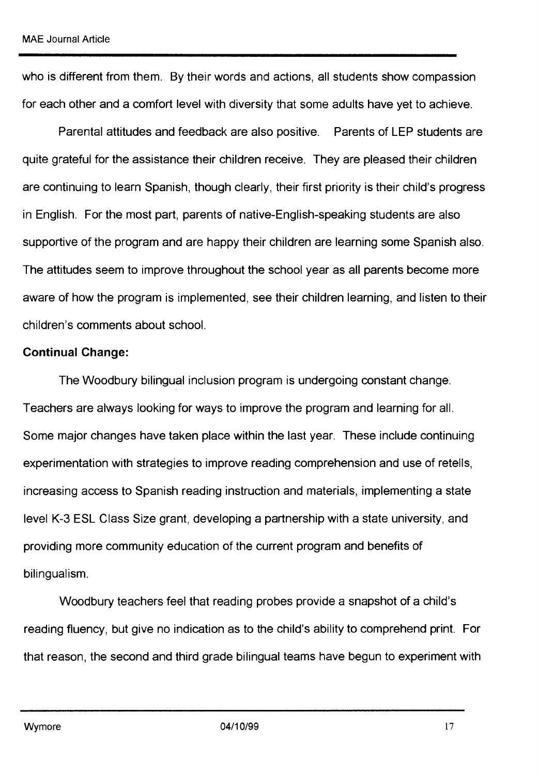who is different from them. By their words and actions, all students show compassion for each other and a comfort level with diversity that some adults have yet to achieve.

Parental attitudes and feedback are also positive. Parents of LEP students are quite grateful for the assistance their children receive. They are pleased their children are continuing to learn Spanish, though clearly, their first priority is their child's progress in English. For the most part, parents of native-English-speaking students are also supportive of the program and are happy their children are learning some Spanish also. The attitudes seem to improve throughout the school year as all parents become more aware of how the program is implemented, see their children learning, and listen to their children's comments about school.

#### **Continual Change:**

The Woodbury bilingual inclusion program is undergoing constant change. Teachers are always looking for ways to improve the program and learning for all. Some major changes have taken place within the last year. These include continuing experimentation with strategies to improve reading comprehension and use of retells, increasing access to Spanish reading instruction and materials, implementing a state level K-3 ESL Class Size grant, developing a partnership with a state university, and providing more community education of the current program and benefits of bilingualism.

Woodbury teachers feel that reading probes provide a snapshot of a child's reading fluency, but give no indication as to the child's ability to comprehend print. For that reason, the second and third grade bilingual teams have begun to experiment with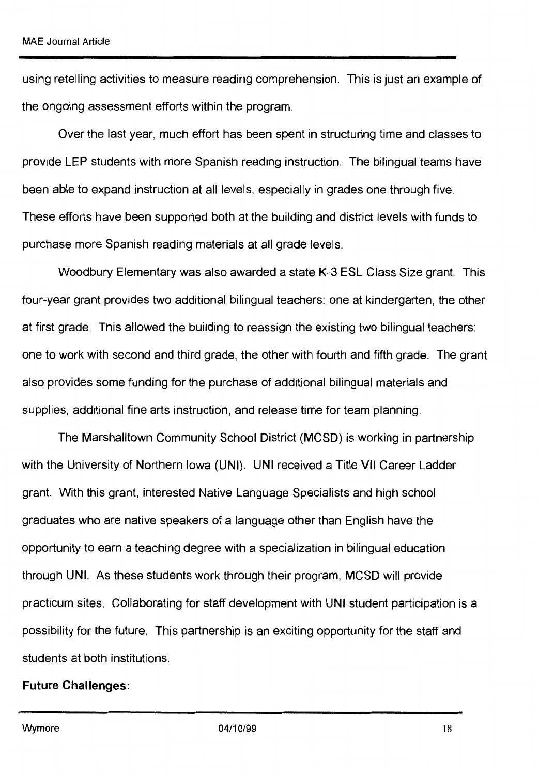using retelling activities to measure reading comprehension. This is just an example of the ongoing assessment efforts within the program.

Over the last year, much effort has been spent in structuring time and classes to provide LEP students with more Spanish reading instruction. The bilingual teams have been able to expand instruction at all levels, especially in grades one through five. These efforts have been supported both at the building and district levels with funds to purchase more Spanish reading materials at all grade levels.

Woodbury Elementary was also awarded a state K-3 ESL Class Size grant. This four-year grant provides two additional bilingual teachers: one at kindergarten, the other at first grade. This allowed the building to reassign the existing two bilingual teachers: one to work with second and third grade, the other with fourth and fifth grade. The grant also provides some funding for the purchase of additional bilingual materials and supplies, additional fine arts instruction, and release time for team planning.

The Marshalltown Community School District **(MCSD) is** working in partnership with the University of Northern Iowa **(UNI). UNI** received a Title VII Career Ladder grant. With this grant, interested Native Language Specialists and high school graduates who are native speakers of a language other than English have the opportunity to earn a teaching degree with a specialization in bilingual education through UNI. As these students work through their program, MCSD will provide practicum sites. Collaborating for staff development with UNI student participation is a possibility for the future. This partnership is an exciting opportunity for the staff and students at both institutions.

#### **Future Challenges:**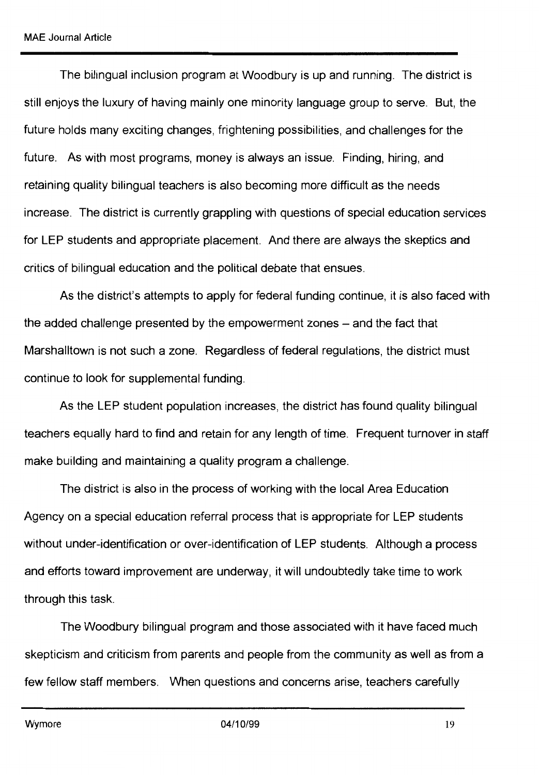The bilingual inclusion program at Woodbury is up and running. The district is still enjoys the luxury of having mainly one minority language group to serve. But, the future holds many exciting changes, frightening possibilities, and challenges for the future. As with most programs, money is always an issue. Finding, hiring, and retaining quality bilingual teachers is also becoming more difficult as the needs increase. The district is currently grappling with questions of special education services for LEP students and appropriate placement. And there are always the skeptics and critics of bilingual education and the political debate that ensues.

As the district's attempts to apply for federal funding continue, it is also faced with the added challenge presented by the empowerment zones – and the fact that Marshalltown is not such a zone. Regardless of federal regulations, the district must continue to look for supplemental funding.

As the LEP student population increases, the district has found quality bilingual teachers equally hard to find and retain for any length of time. Frequent turnover in staff make building and maintaining a quality program a challenge.

The district is also in the process of working with the local Area Education Agency on a special education referral process that is appropriate for LEP students without under-identification or over-identification of LEP students. Although a process and efforts toward improvement are underway, it will undoubtedly take time to work through this task.

The Woodbury bilingual program and those associated with it have faced much skepticism and criticism from parents and people from the community as well as from a few fellow staff members. When questions and concerns arise, teachers carefully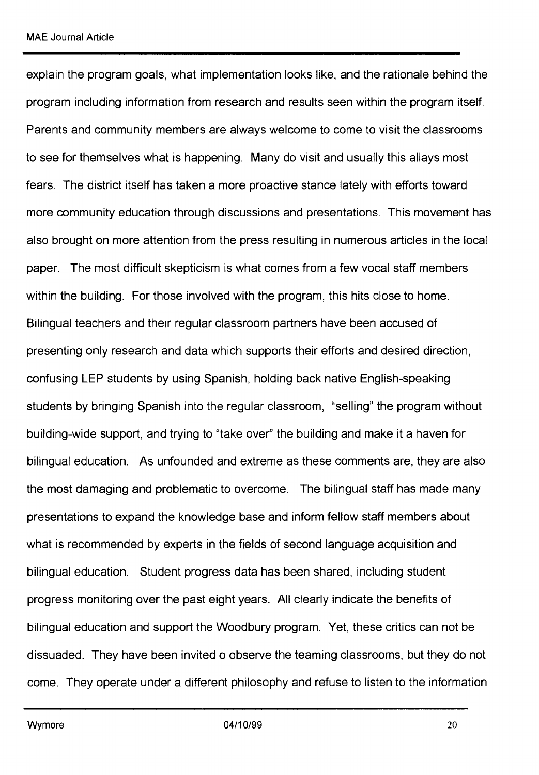explain the program goals, what implementation looks like, and the rationale behind the program including information from research and results seen within the program itself. Parents and community members are always welcome to come to visit the classrooms to see for themselves what is happening. Many do visit and usually this allays most fears. The district itself has taken a more proactive stance lately with efforts toward more community education through discussions and presentations. This movement has also brought on more attention from the press resulting in numerous articles in the local paper. The most difficult skepticism is what comes from a few vocal staff members within the building. For those involved with the program, this hits close to home. Bilingual teachers and their regular classroom partners have been accused of presenting only research and data which supports their efforts and desired direction, confusing **LEP** students by using Spanish, holding back native English-speaking students by bringing Spanish into the regular classroom, "selling" the program without building-wide support, and trying to "take over'' the building and make it a haven for bilingual education. As unfounded and extreme as these comments are, they are also the most damaging and problematic to overcome. The bilingual staff has made many presentations to expand the knowledge base and inform fellow staff members about what is recommended by experts in the fields of second language acquisition and bilingual education. Student progress data has been shared, including student progress monitoring over the past eight years. All clearly indicate the benefits of bilingual education and support the Woodbury program. Yet, these critics can not be dissuaded. They have been invited o observe the teaming classrooms, but they do not come. They operate under a different philosophy and refuse to listen to the information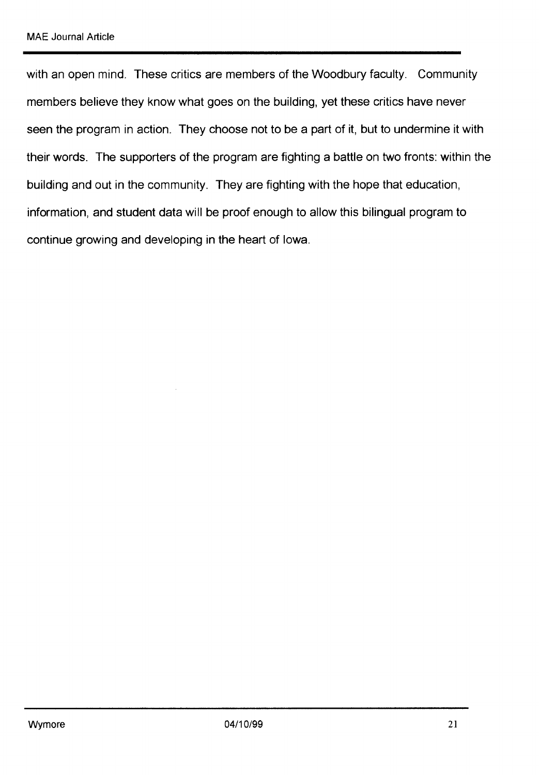with an open mind. These critics are members of the Woodbury faculty. Community members believe they know what goes on the building, yet these critics have never seen the program in action. They choose not to be a part of it, but to undermine it with their words. The supporters of the program are fighting a battle on two fronts: within the building and out in the community. They are fighting with the hope that education, information, and student data will be proof enough to allow this bilingual program to continue growing and developing in the heart of Iowa.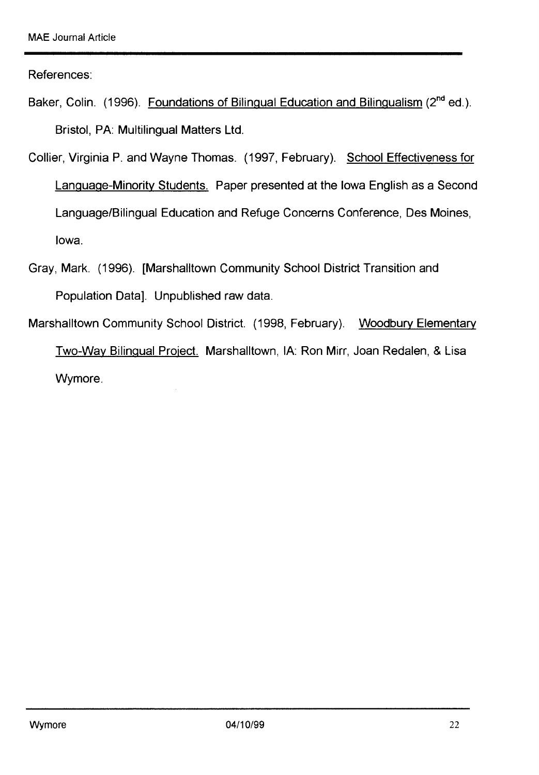References:

- Baker, Colin. (1996). Foundations of Bilingual Education and Bilingualism (2<sup>nd</sup> ed.). Bristol, PA: Multilingual Matters Ltd.
- Collier, Virginia P. and Wayne Thomas. (1997, February). School Effectiveness for Language-Minority Students. Paper presented at the Iowa English as a Second Language/Bilingual Education and Refuge Concerns Conference, Des Moines, Iowa.
- Gray, Mark. (1996). [Marshalltown Community School District Transition and Population Data]. Unpublished raw data.
- Marshalltown Community School District. (1998, February). Woodbury Elementary Two-Way Bilingual Project. Marshalltown, IA: Ron Mirr, Joan Redalen, & Lisa Wymore.